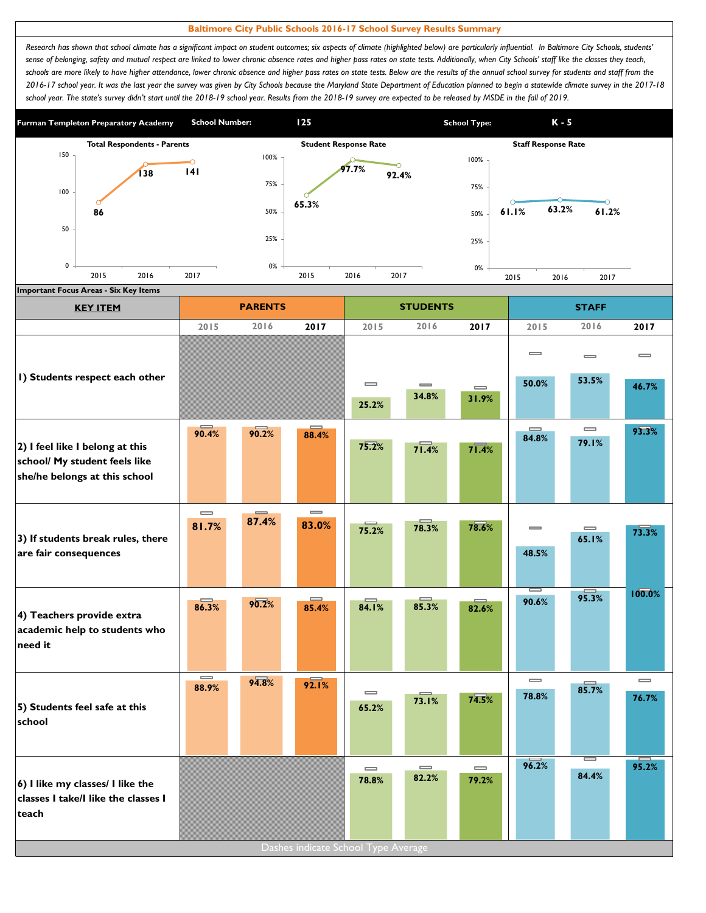## **Baltimore City Public Schools 2016-17 School Survey Results Summary**

Research has shown that school climate has a significant impact on student outcomes; six aspects of climate (highlighted below) are particularly influential. In Baltimore City Schools, students' *sense of belonging, safety and mutual respect are linked to lower chronic absence rates and higher pass rates on state tests. Additionally, when City Schools' staff like the classes they teach,*  schools are more likely to have higher attendance, lower chronic absence and higher pass rates on state tests. Below are the results of the annual school survey for students and staff from the *2016-17 school year. It was the last year the survey was given by City Schools because the Maryland State Department of Education planned to begin a statewide climate survey in the 2017-18*  school year. The state's survey didn't start until the 2018-19 school year. Results from the 2018-19 survey are expected to be released by MSDE in the fall of 2019.



| <b>KEY ITEM</b>                                                                                   |                                       | <b>PARENTS</b> |                                     |                                       | <b>STUDENTS</b>   |                                        |                                       | <b>STAFF</b>                          |                                   |
|---------------------------------------------------------------------------------------------------|---------------------------------------|----------------|-------------------------------------|---------------------------------------|-------------------|----------------------------------------|---------------------------------------|---------------------------------------|-----------------------------------|
|                                                                                                   | 2015                                  | 2016           | 2017                                | 2015                                  | 2016              | 2017                                   | 2015                                  | 2016                                  | 2017                              |
|                                                                                                   |                                       |                |                                     |                                       |                   |                                        | $\equiv$                              | $\qquad \qquad \blacksquare$          | $\equiv$                          |
| I) Students respect each other                                                                    |                                       |                |                                     | $\equiv$<br>25.2%                     | $\equiv$<br>34.8% | $\qquad \qquad \blacksquare$<br>31.9%  | 50.0%                                 | 53.5%                                 | 46.7%                             |
| 2) I feel like I belong at this<br>school/ My student feels like<br>she/he belongs at this school | 90.4%                                 | 90.2%          | 88.4%                               | 75.2%                                 | 71.4%             | 71.4%                                  | $\equiv$<br>84.8%                     | $\qquad \qquad \blacksquare$<br>79.1% | 93.3%                             |
|                                                                                                   | $\qquad \qquad \blacksquare$          |                | $\qquad \qquad \blacksquare$        |                                       |                   |                                        |                                       |                                       |                                   |
| 3) If students break rules, there<br>are fair consequences                                        | 81.7%                                 | 87.4%          | 83.0%                               | 75.2%                                 | 78.3%             | 78.6%                                  | $\equiv$<br>48.5%                     | $\qquad \qquad \blacksquare$<br>65.1% | 73.3%                             |
| 4) Teachers provide extra<br>academic help to students who<br>need it                             | 86.3%                                 | 90.2%          | $\equiv$<br>85.4%                   | 84.1%                                 | 85.3%             | 82.6%                                  | 90.6%                                 | 95.3%                                 | 100.0%                            |
| 5) Students feel safe at this<br>school                                                           | $\qquad \qquad \blacksquare$<br>88.9% | 94.8%          | 92.1%                               | $\equiv$<br>65.2%                     | 73.1%             | 74.5%                                  | $\qquad \qquad \blacksquare$<br>78.8% | 85.7%                                 | $\overline{\phantom{0}}$<br>76.7% |
| 6) I like my classes/ I like the<br>classes I take/I like the classes I<br>teach                  |                                       |                | Dashes indicate School Type Average | $\qquad \qquad \blacksquare$<br>78.8% | $\equiv$<br>82.2% | $\qquad \qquad \qquad \qquad$<br>79.2% | 96.2%                                 | 84.4%                                 | 95.2%                             |